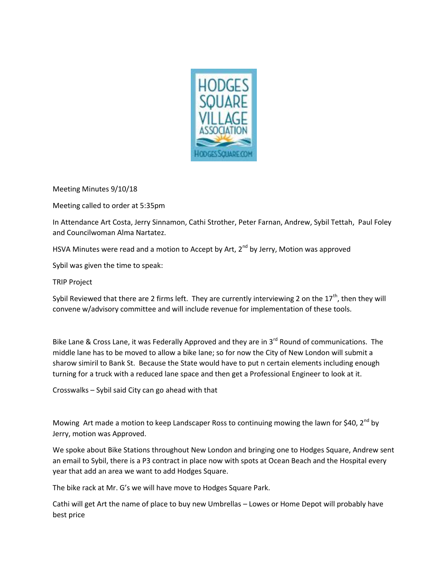

Meeting Minutes 9/10/18

Meeting called to order at 5:35pm

In Attendance Art Costa, Jerry Sinnamon, Cathi Strother, Peter Farnan, Andrew, Sybil Tettah, Paul Foley and Councilwoman Alma Nartatez.

HSVA Minutes were read and a motion to Accept by Art,  $2^{nd}$  by Jerry, Motion was approved

Sybil was given the time to speak:

TRIP Project

Sybil Reviewed that there are 2 firms left. They are currently interviewing 2 on the  $17<sup>th</sup>$ , then they will convene w/advisory committee and will include revenue for implementation of these tools.

Bike Lane & Cross Lane, it was Federally Approved and they are in  $3^{rd}$  Round of communications. The middle lane has to be moved to allow a bike lane; so for now the City of New London will submit a sharow simiril to Bank St. Because the State would have to put n certain elements including enough turning for a truck with a reduced lane space and then get a Professional Engineer to look at it.

Crosswalks – Sybil said City can go ahead with that

Mowing Art made a motion to keep Landscaper Ross to continuing mowing the lawn for \$40,  $2^{nd}$  by Jerry, motion was Approved.

We spoke about Bike Stations throughout New London and bringing one to Hodges Square, Andrew sent an email to Sybil, there is a P3 contract in place now with spots at Ocean Beach and the Hospital every year that add an area we want to add Hodges Square.

The bike rack at Mr. G's we will have move to Hodges Square Park.

Cathi will get Art the name of place to buy new Umbrellas – Lowes or Home Depot will probably have best price